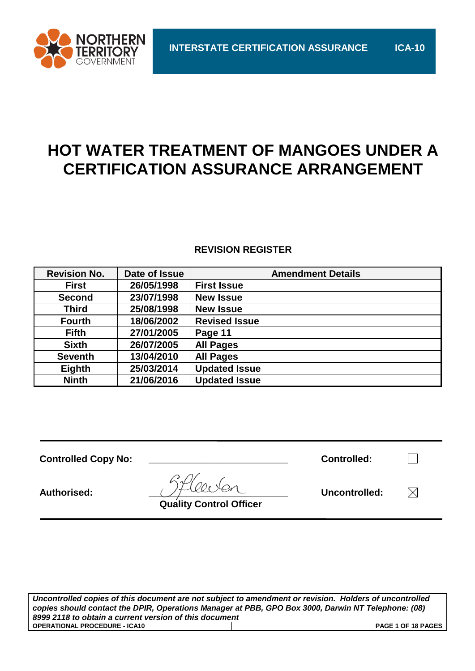

# **HOT WATER TREATMENT OF MANGOES UNDER A CERTIFICATION ASSURANCE ARRANGEMENT**

# **REVISION REGISTER**

| <b>Revision No.</b> | Date of Issue | <b>Amendment Details</b> |
|---------------------|---------------|--------------------------|
| <b>First</b>        | 26/05/1998    | <b>First Issue</b>       |
| <b>Second</b>       | 23/07/1998    | <b>New Issue</b>         |
| <b>Third</b>        | 25/08/1998    | <b>New Issue</b>         |
| <b>Fourth</b>       | 18/06/2002    | <b>Revised Issue</b>     |
| <b>Fifth</b>        | 27/01/2005    | Page 11                  |
| <b>Sixth</b>        | 26/07/2005    | <b>All Pages</b>         |
| <b>Seventh</b>      | 13/04/2010    | <b>All Pages</b>         |
| Eighth              | 25/03/2014    | <b>Updated Issue</b>     |
| <b>Ninth</b>        | 21/06/2016    | <b>Updated Issue</b>     |

| <b>Controlled Copy No:</b> |                                | <b>Controlled:</b> |     |
|----------------------------|--------------------------------|--------------------|-----|
| Authorised:                | <b>Quality Control Officer</b> | Uncontrolled:      | ا∕∖ |

*Uncontrolled copies of this document are not subject to amendment or revision. Holders of uncontrolled copies should contact the DPIR, Operations Manager at PBB, GPO Box 3000, Darwin NT Telephone: (08) 8999 2118 to obtain a current version of this document* **OPERATIONAL PROCEDURE - ICA10 PAGE 1 OF 18 PAGES**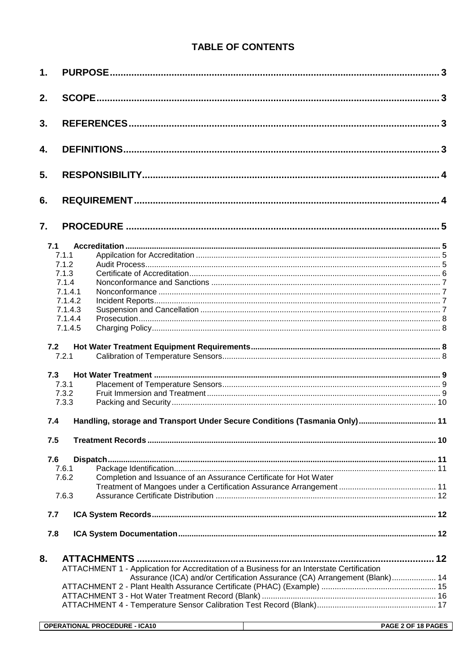# **TABLE OF CONTENTS**

| 1.  |         |                                                                                            |     |
|-----|---------|--------------------------------------------------------------------------------------------|-----|
| 2.  |         |                                                                                            |     |
| 3.  |         |                                                                                            |     |
| 4.  |         |                                                                                            |     |
| 5.  |         |                                                                                            |     |
| 6.  |         |                                                                                            |     |
| 7.  |         |                                                                                            |     |
| 7.1 |         |                                                                                            |     |
|     | 7.1.1   |                                                                                            |     |
|     | 7.1.2   |                                                                                            |     |
|     | 7.1.3   |                                                                                            |     |
|     | 7.1.4   |                                                                                            |     |
|     | 7.1.4.1 |                                                                                            |     |
|     | 7.1.4.2 |                                                                                            |     |
|     | 7.1.4.3 |                                                                                            |     |
|     |         |                                                                                            |     |
|     | 7.1.4.4 |                                                                                            |     |
|     | 7.1.4.5 |                                                                                            |     |
| 7.2 | 7.2.1   |                                                                                            |     |
| 7.3 |         |                                                                                            |     |
|     | 7.3.1   |                                                                                            |     |
|     | 7.3.2   |                                                                                            |     |
|     | 7.3.3   |                                                                                            |     |
|     |         |                                                                                            |     |
| 7.4 |         |                                                                                            | .11 |
| 7.5 |         |                                                                                            |     |
| 7.6 |         |                                                                                            |     |
|     | 7.6.1   |                                                                                            |     |
|     | 7.6.2   | Completion and Issuance of an Assurance Certificate for Hot Water                          |     |
|     |         |                                                                                            |     |
|     | 7.6.3   |                                                                                            |     |
|     |         |                                                                                            |     |
| 7.7 |         |                                                                                            |     |
|     |         |                                                                                            |     |
| 7.8 |         |                                                                                            |     |
| 8.  |         |                                                                                            |     |
|     |         | ATTACHMENT 1 - Application for Accreditation of a Business for an Interstate Certification |     |
|     |         | Assurance (ICA) and/or Certification Assurance (CA) Arrangement (Blank) 14                 |     |
|     |         |                                                                                            |     |
|     |         |                                                                                            |     |
|     |         |                                                                                            |     |
|     |         |                                                                                            |     |
|     |         |                                                                                            |     |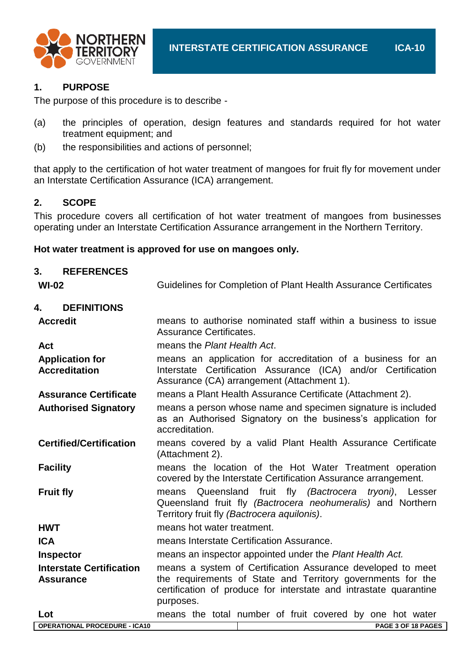

# **1. PURPOSE**

The purpose of this procedure is to describe -

- (a) the principles of operation, design features and standards required for hot water treatment equipment; and
- (b) the responsibilities and actions of personnel;

that apply to the certification of hot water treatment of mangoes for fruit fly for movement under an Interstate Certification Assurance (ICA) arrangement.

#### **2. SCOPE**

This procedure covers all certification of hot water treatment of mangoes from businesses operating under an Interstate Certification Assurance arrangement in the Northern Territory.

#### **Hot water treatment is approved for use on mangoes only.**

| 3.<br><b>REFERENCES</b><br>$WI-02$             | Guidelines for Completion of Plant Health Assurance Certificates                                                                                                              |  |  |  |  |  |
|------------------------------------------------|-------------------------------------------------------------------------------------------------------------------------------------------------------------------------------|--|--|--|--|--|
|                                                |                                                                                                                                                                               |  |  |  |  |  |
| <b>DEFINITIONS</b><br>4.                       |                                                                                                                                                                               |  |  |  |  |  |
| <b>Accredit</b>                                | means to authorise nominated staff within a business to issue<br>Assurance Certificates.                                                                                      |  |  |  |  |  |
| Act                                            | means the Plant Health Act.                                                                                                                                                   |  |  |  |  |  |
| <b>Application for</b><br><b>Accreditation</b> | means an application for accreditation of a business for an<br>Interstate Certification Assurance (ICA) and/or Certification<br>Assurance (CA) arrangement (Attachment 1).    |  |  |  |  |  |
| <b>Assurance Certificate</b>                   | means a Plant Health Assurance Certificate (Attachment 2).                                                                                                                    |  |  |  |  |  |
| <b>Authorised Signatory</b>                    | means a person whose name and specimen signature is included<br>as an Authorised Signatory on the business's application for<br>accreditation.                                |  |  |  |  |  |
| <b>Certified/Certification</b>                 | means covered by a valid Plant Health Assurance Certificate<br>(Attachment 2).                                                                                                |  |  |  |  |  |
| <b>Facility</b>                                | means the location of the Hot Water Treatment operation<br>covered by the Interstate Certification Assurance arrangement.                                                     |  |  |  |  |  |
| <b>Fruit fly</b>                               | Queensland fruit fly (Bactrocera<br>tryoni),<br>Lesser<br>means<br>Queensland fruit fly (Bactrocera neohumeralis) and Northern<br>Territory fruit fly (Bactrocera aquilonis). |  |  |  |  |  |
| <b>HWT</b>                                     | means hot water treatment.                                                                                                                                                    |  |  |  |  |  |
| <b>ICA</b>                                     | means Interstate Certification Assurance.                                                                                                                                     |  |  |  |  |  |
| <b>Inspector</b>                               | means an inspector appointed under the Plant Health Act.                                                                                                                      |  |  |  |  |  |
| <b>Interstate Certification</b>                | means a system of Certification Assurance developed to meet                                                                                                                   |  |  |  |  |  |
| <b>Assurance</b>                               | the requirements of State and Territory governments for the<br>certification of produce for interstate and intrastate quarantine<br>purposes.                                 |  |  |  |  |  |
| Lot                                            | means the total number of fruit covered by one hot water                                                                                                                      |  |  |  |  |  |
| <b>OPERATIONAL PROCEDURE - ICA10</b>           | PAGE 3 OF 18 PAGES                                                                                                                                                            |  |  |  |  |  |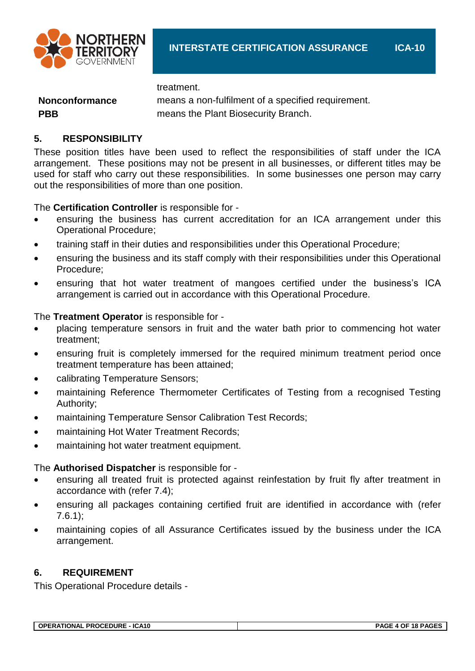

treatment.

**Nonconformance** means a non-fulfilment of a specified requirement. **PBB** means the Plant Biosecurity Branch.

# **5. RESPONSIBILITY**

These position titles have been used to reflect the responsibilities of staff under the ICA arrangement. These positions may not be present in all businesses, or different titles may be used for staff who carry out these responsibilities. In some businesses one person may carry out the responsibilities of more than one position.

The **Certification Controller** is responsible for -

- ensuring the business has current accreditation for an ICA arrangement under this Operational Procedure;
- training staff in their duties and responsibilities under this Operational Procedure;
- ensuring the business and its staff comply with their responsibilities under this Operational Procedure;
- ensuring that hot water treatment of mangoes certified under the business's ICA arrangement is carried out in accordance with this Operational Procedure.

# The **Treatment Operator** is responsible for -

- placing temperature sensors in fruit and the water bath prior to commencing hot water treatment;
- ensuring fruit is completely immersed for the required minimum treatment period once treatment temperature has been attained;
- calibrating Temperature Sensors;
- maintaining Reference Thermometer Certificates of Testing from a recognised Testing Authority;
- maintaining Temperature Sensor Calibration Test Records;
- maintaining Hot Water Treatment Records;
- maintaining hot water treatment equipment.

#### The **Authorised Dispatcher** is responsible for -

- ensuring all treated fruit is protected against reinfestation by fruit fly after treatment in accordance with (refer 7.4);
- ensuring all packages containing certified fruit are identified in accordance with (refer  $7.6.1$ ;
- maintaining copies of all Assurance Certificates issued by the business under the ICA arrangement.

# **6. REQUIREMENT**

This Operational Procedure details -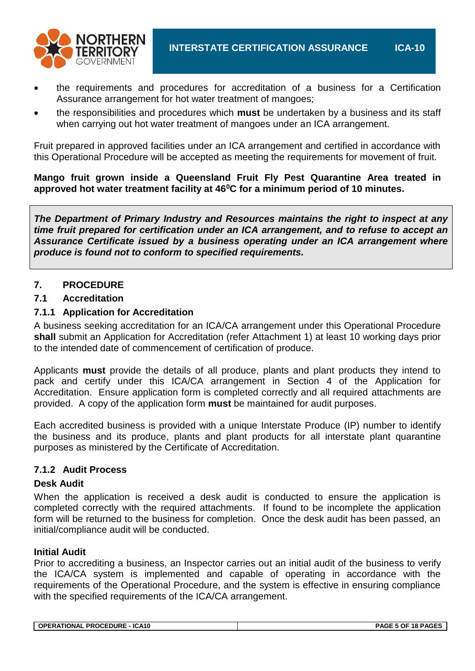

- the requirements and procedures for accreditation of a business for a Certification Assurance arrangement for hot water treatment of mangoes;
- the responsibilities and procedures which **must** be undertaken by a business and its staff when carrying out hot water treatment of mangoes under an ICA arrangement.

Fruit prepared in approved facilities under an ICA arrangement and certified in accordance with this Operational Procedure will be accepted as meeting the requirements for movement of fruit.

#### **Mango fruit grown inside a Queensland Fruit Fly Pest Quarantine Area treated in approved hot water treatment facility at 46<sup>0</sup>C for a minimum period of 10 minutes.**

*The Department of Primary Industry and Resources maintains the right to inspect at any time fruit prepared for certification under an ICA arrangement, and to refuse to accept an Assurance Certificate issued by a business operating under an ICA arrangement where produce is found not to conform to specified requirements.*

#### **7. PROCEDURE**

#### **7.1 Accreditation**

#### **7.1.1 Application for Accreditation**

A business seeking accreditation for an ICA/CA arrangement under this Operational Procedure **shall** submit an Application for Accreditation (refer Attachment 1) at least 10 working days prior to the intended date of commencement of certification of produce.

Applicants **must** provide the details of all produce, plants and plant products they intend to pack and certify under this ICA/CA arrangement in Section 4 of the Application for Accreditation. Ensure application form is completed correctly and all required attachments are provided. A copy of the application form **must** be maintained for audit purposes.

Each accredited business is provided with a unique Interstate Produce (IP) number to identify the business and its produce, plants and plant products for all interstate plant quarantine purposes as ministered by the Certificate of Accreditation.

#### **7.1.2 Audit Process**

#### **Desk Audit**

When the application is received a desk audit is conducted to ensure the application is completed correctly with the required attachments. If found to be incomplete the application form will be returned to the business for completion. Once the desk audit has been passed, an initial/compliance audit will be conducted.

#### **Initial Audit**

Prior to accrediting a business, an Inspector carries out an initial audit of the business to verify the ICA/CA system is implemented and capable of operating in accordance with the requirements of the Operational Procedure, and the system is effective in ensuring compliance with the specified requirements of the ICA/CA arrangement.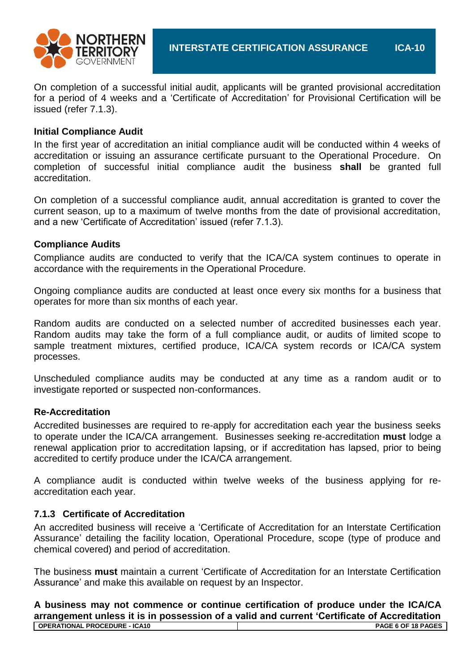

On completion of a successful initial audit, applicants will be granted provisional accreditation for a period of 4 weeks and a 'Certificate of Accreditation' for Provisional Certification will be issued (refer 7.1.3).

#### **Initial Compliance Audit**

In the first year of accreditation an initial compliance audit will be conducted within 4 weeks of accreditation or issuing an assurance certificate pursuant to the Operational Procedure. On completion of successful initial compliance audit the business **shall** be granted full accreditation.

On completion of a successful compliance audit, annual accreditation is granted to cover the current season, up to a maximum of twelve months from the date of provisional accreditation, and a new 'Certificate of Accreditation' issued (refer 7.1.3).

#### **Compliance Audits**

Compliance audits are conducted to verify that the ICA/CA system continues to operate in accordance with the requirements in the Operational Procedure.

Ongoing compliance audits are conducted at least once every six months for a business that operates for more than six months of each year.

Random audits are conducted on a selected number of accredited businesses each year. Random audits may take the form of a full compliance audit, or audits of limited scope to sample treatment mixtures, certified produce, ICA/CA system records or ICA/CA system processes.

Unscheduled compliance audits may be conducted at any time as a random audit or to investigate reported or suspected non-conformances.

#### **Re-Accreditation**

Accredited businesses are required to re-apply for accreditation each year the business seeks to operate under the ICA/CA arrangement. Businesses seeking re-accreditation **must** lodge a renewal application prior to accreditation lapsing, or if accreditation has lapsed, prior to being accredited to certify produce under the ICA/CA arrangement.

A compliance audit is conducted within twelve weeks of the business applying for reaccreditation each year.

#### **7.1.3 Certificate of Accreditation**

An accredited business will receive a 'Certificate of Accreditation for an Interstate Certification Assurance' detailing the facility location, Operational Procedure, scope (type of produce and chemical covered) and period of accreditation.

The business **must** maintain a current 'Certificate of Accreditation for an Interstate Certification Assurance' and make this available on request by an Inspector.

**OPERATIONAL PROCEDURE - ICA10 PAGE 6 OF 18 PAGES A business may not commence or continue certification of produce under the ICA/CA arrangement unless it is in possession of a valid and current 'Certificate of Accreditation**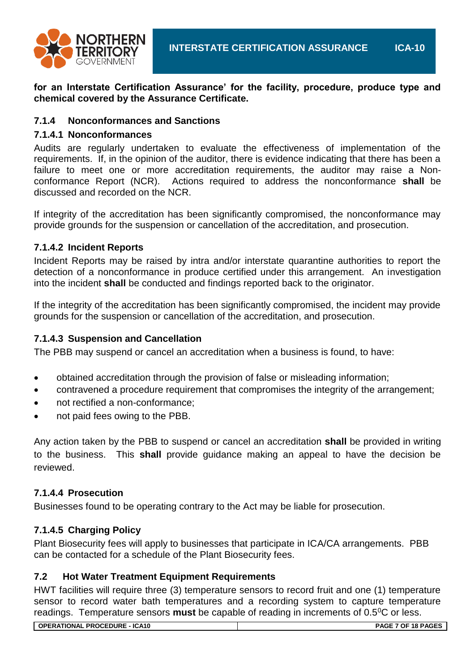

**for an Interstate Certification Assurance' for the facility, procedure, produce type and chemical covered by the Assurance Certificate.**

#### **7.1.4 Nonconformances and Sanctions**

#### **7.1.4.1 Nonconformances**

Audits are regularly undertaken to evaluate the effectiveness of implementation of the requirements. If, in the opinion of the auditor, there is evidence indicating that there has been a failure to meet one or more accreditation requirements, the auditor may raise a Nonconformance Report (NCR). Actions required to address the nonconformance **shall** be discussed and recorded on the NCR.

If integrity of the accreditation has been significantly compromised, the nonconformance may provide grounds for the suspension or cancellation of the accreditation, and prosecution.

#### **7.1.4.2 Incident Reports**

Incident Reports may be raised by intra and/or interstate quarantine authorities to report the detection of a nonconformance in produce certified under this arrangement. An investigation into the incident **shall** be conducted and findings reported back to the originator.

If the integrity of the accreditation has been significantly compromised, the incident may provide grounds for the suspension or cancellation of the accreditation, and prosecution.

#### **7.1.4.3 Suspension and Cancellation**

The PBB may suspend or cancel an accreditation when a business is found, to have:

- obtained accreditation through the provision of false or misleading information;
- contravened a procedure requirement that compromises the integrity of the arrangement;
- not rectified a non-conformance;
- not paid fees owing to the PBB.

Any action taken by the PBB to suspend or cancel an accreditation **shall** be provided in writing to the business. This **shall** provide guidance making an appeal to have the decision be reviewed.

#### **7.1.4.4 Prosecution**

Businesses found to be operating contrary to the Act may be liable for prosecution.

#### **7.1.4.5 Charging Policy**

Plant Biosecurity fees will apply to businesses that participate in ICA/CA arrangements. PBB can be contacted for a schedule of the Plant Biosecurity fees.

#### **7.2 Hot Water Treatment Equipment Requirements**

HWT facilities will require three (3) temperature sensors to record fruit and one (1) temperature sensor to record water bath temperatures and a recording system to capture temperature readings. Temperature sensors **must** be capable of reading in increments of 0.5<sup>o</sup>C or less.

**OPERATIONAL PROCEDURE - ICA10 PAGE 7 OF 18 PAGES**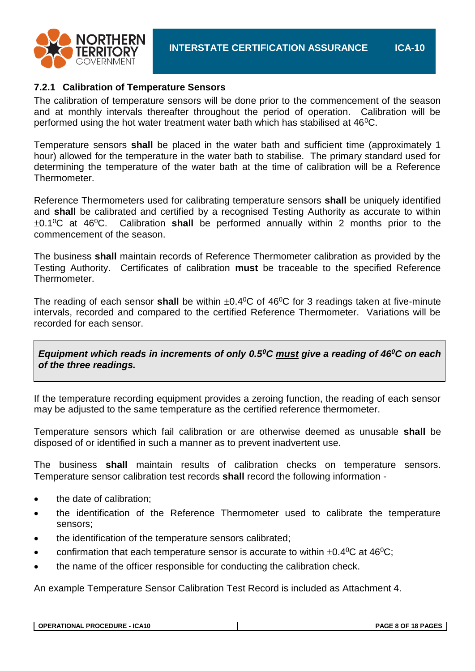

#### **7.2.1 Calibration of Temperature Sensors**

The calibration of temperature sensors will be done prior to the commencement of the season and at monthly intervals thereafter throughout the period of operation. Calibration will be performed using the hot water treatment water bath which has stabilised at  $46^{\circ}$ C.

Temperature sensors **shall** be placed in the water bath and sufficient time (approximately 1 hour) allowed for the temperature in the water bath to stabilise. The primary standard used for determining the temperature of the water bath at the time of calibration will be a Reference Thermometer.

Reference Thermometers used for calibrating temperature sensors **shall** be uniquely identified and **shall** be calibrated and certified by a recognised Testing Authority as accurate to within 0.1<sup>0</sup>C at 46<sup>0</sup>C. Calibration **shall** be performed annually within 2 months prior to the commencement of the season.

The business **shall** maintain records of Reference Thermometer calibration as provided by the Testing Authority. Certificates of calibration **must** be traceable to the specified Reference Thermometer.

The reading of each sensor **shall** be within  $\pm 0.4^{\circ}$ C of 46<sup>o</sup>C for 3 readings taken at five-minute intervals, recorded and compared to the certified Reference Thermometer. Variations will be recorded for each sensor.

*Equipment which reads in increments of only 0.5<sup>0</sup>C must give a reading of 46<sup>0</sup>C on each of the three readings.*

If the temperature recording equipment provides a zeroing function, the reading of each sensor may be adjusted to the same temperature as the certified reference thermometer.

Temperature sensors which fail calibration or are otherwise deemed as unusable **shall** be disposed of or identified in such a manner as to prevent inadvertent use.

The business **shall** maintain results of calibration checks on temperature sensors. Temperature sensor calibration test records **shall** record the following information -

- the date of calibration;
- the identification of the Reference Thermometer used to calibrate the temperature sensors;
- the identification of the temperature sensors calibrated;
- confirmation that each temperature sensor is accurate to within  $\pm 0.4^{\circ}C$  at 46<sup>°</sup>C;
- the name of the officer responsible for conducting the calibration check.

An example Temperature Sensor Calibration Test Record is included as Attachment 4.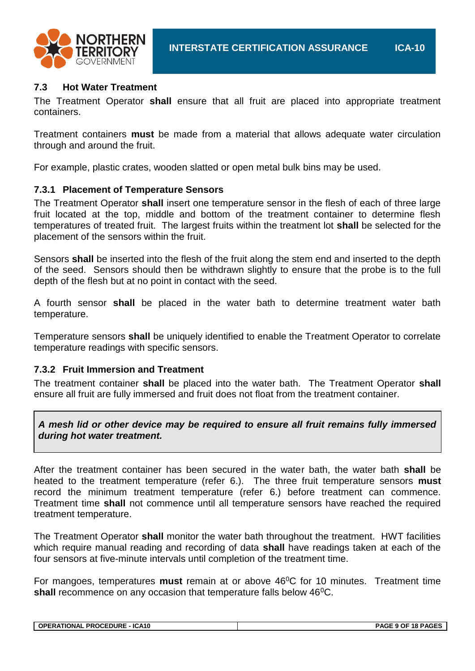

# **7.3 Hot Water Treatment**

The Treatment Operator **shall** ensure that all fruit are placed into appropriate treatment containers.

Treatment containers **must** be made from a material that allows adequate water circulation through and around the fruit.

For example, plastic crates, wooden slatted or open metal bulk bins may be used.

#### **7.3.1 Placement of Temperature Sensors**

The Treatment Operator **shall** insert one temperature sensor in the flesh of each of three large fruit located at the top, middle and bottom of the treatment container to determine flesh temperatures of treated fruit. The largest fruits within the treatment lot **shall** be selected for the placement of the sensors within the fruit.

Sensors **shall** be inserted into the flesh of the fruit along the stem end and inserted to the depth of the seed. Sensors should then be withdrawn slightly to ensure that the probe is to the full depth of the flesh but at no point in contact with the seed.

A fourth sensor **shall** be placed in the water bath to determine treatment water bath temperature.

Temperature sensors **shall** be uniquely identified to enable the Treatment Operator to correlate temperature readings with specific sensors.

#### **7.3.2 Fruit Immersion and Treatment**

The treatment container **shall** be placed into the water bath. The Treatment Operator **shall** ensure all fruit are fully immersed and fruit does not float from the treatment container.

*A mesh lid or other device may be required to ensure all fruit remains fully immersed during hot water treatment.*

After the treatment container has been secured in the water bath, the water bath **shall** be heated to the treatment temperature (refer 6.). The three fruit temperature sensors **must** record the minimum treatment temperature (refer 6.) before treatment can commence. Treatment time **shall** not commence until all temperature sensors have reached the required treatment temperature.

The Treatment Operator **shall** monitor the water bath throughout the treatment. HWT facilities which require manual reading and recording of data **shall** have readings taken at each of the four sensors at five-minute intervals until completion of the treatment time.

For mangoes, temperatures must remain at or above 46<sup>0</sup>C for 10 minutes. Treatment time **shall** recommence on any occasion that temperature falls below 46<sup>o</sup>C.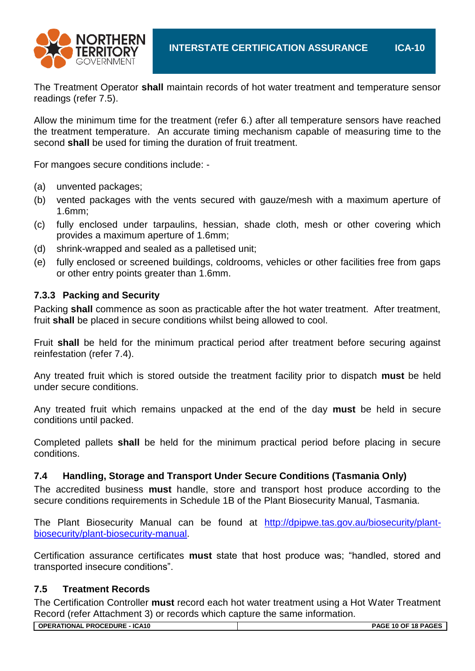

The Treatment Operator **shall** maintain records of hot water treatment and temperature sensor readings (refer 7.5).

Allow the minimum time for the treatment (refer 6.) after all temperature sensors have reached the treatment temperature. An accurate timing mechanism capable of measuring time to the second **shall** be used for timing the duration of fruit treatment.

For mangoes secure conditions include: -

- (a) unvented packages;
- (b) vented packages with the vents secured with gauze/mesh with a maximum aperture of 1.6mm;
- (c) fully enclosed under tarpaulins, hessian, shade cloth, mesh or other covering which provides a maximum aperture of 1.6mm;
- (d) shrink-wrapped and sealed as a palletised unit;
- (e) fully enclosed or screened buildings, coldrooms, vehicles or other facilities free from gaps or other entry points greater than 1.6mm.

# **7.3.3 Packing and Security**

Packing **shall** commence as soon as practicable after the hot water treatment. After treatment, fruit **shall** be placed in secure conditions whilst being allowed to cool.

Fruit **shall** be held for the minimum practical period after treatment before securing against reinfestation (refer 7.4).

Any treated fruit which is stored outside the treatment facility prior to dispatch **must** be held under secure conditions.

Any treated fruit which remains unpacked at the end of the day **must** be held in secure conditions until packed.

Completed pallets **shall** be held for the minimum practical period before placing in secure conditions.

#### **7.4 Handling, Storage and Transport Under Secure Conditions (Tasmania Only)**

The accredited business **must** handle, store and transport host produce according to the secure conditions requirements in Schedule 1B of the Plant Biosecurity Manual, Tasmania.

The Plant Biosecurity Manual can be found at [http://dpipwe.tas.gov.au/biosecurity/plant](http://dpipwe.tas.gov.au/biosecurity/plant-biosecurity/plant-biosecurity-manual)[biosecurity/plant-biosecurity-manual.](http://dpipwe.tas.gov.au/biosecurity/plant-biosecurity/plant-biosecurity-manual)

Certification assurance certificates **must** state that host produce was; "handled, stored and transported insecure conditions".

#### **7.5 Treatment Records**

The Certification Controller **must** record each hot water treatment using a Hot Water Treatment Record (refer Attachment 3) or records which capture the same information.

**OPERATIONAL PROCEDURE - ICA10 PAGE 10 OF 18 PAGES**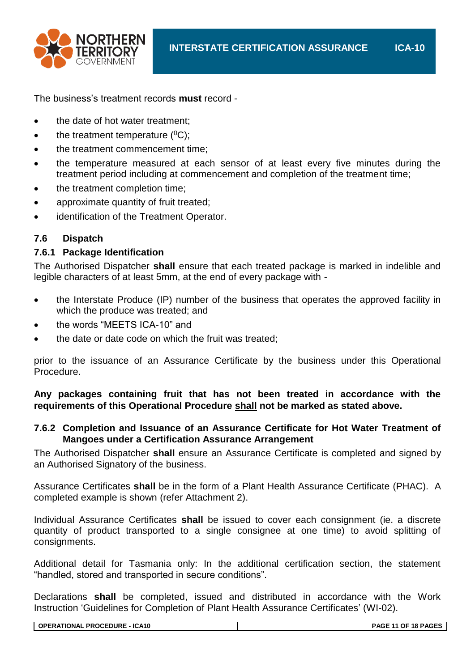

The business's treatment records **must** record -

- the date of hot water treatment:
- $\bullet$  the treatment temperature ( $^0C$ );
- the treatment commencement time;
- the temperature measured at each sensor of at least every five minutes during the treatment period including at commencement and completion of the treatment time;
- the treatment completion time;
- approximate quantity of fruit treated;
- identification of the Treatment Operator.

#### **7.6 Dispatch**

#### **7.6.1 Package Identification**

The Authorised Dispatcher **shall** ensure that each treated package is marked in indelible and legible characters of at least 5mm, at the end of every package with -

- the Interstate Produce (IP) number of the business that operates the approved facility in which the produce was treated; and
- the words "MEETS ICA-10" and
- the date or date code on which the fruit was treated;

prior to the issuance of an Assurance Certificate by the business under this Operational Procedure.

**Any packages containing fruit that has not been treated in accordance with the requirements of this Operational Procedure shall not be marked as stated above.**

#### **7.6.2 Completion and Issuance of an Assurance Certificate for Hot Water Treatment of Mangoes under a Certification Assurance Arrangement**

The Authorised Dispatcher **shall** ensure an Assurance Certificate is completed and signed by an Authorised Signatory of the business.

Assurance Certificates **shall** be in the form of a Plant Health Assurance Certificate (PHAC). A completed example is shown (refer Attachment 2).

Individual Assurance Certificates **shall** be issued to cover each consignment (ie. a discrete quantity of product transported to a single consignee at one time) to avoid splitting of consignments.

Additional detail for Tasmania only: In the additional certification section, the statement "handled, stored and transported in secure conditions".

Declarations **shall** be completed, issued and distributed in accordance with the Work Instruction 'Guidelines for Completion of Plant Health Assurance Certificates' (WI-02).

**OPERATIONAL PROCEDURE - ICA10 PAGE 11 OF 18 PAGES**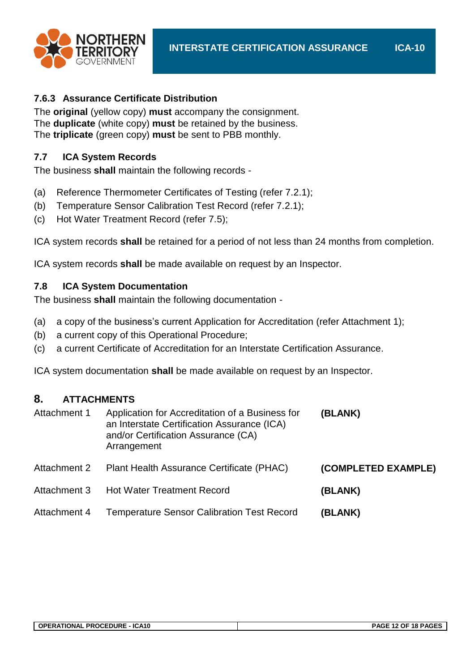

# **7.6.3 Assurance Certificate Distribution**

The **original** (yellow copy) **must** accompany the consignment. The **duplicate** (white copy) **must** be retained by the business. The **triplicate** (green copy) **must** be sent to PBB monthly.

# **7.7 ICA System Records**

The business **shall** maintain the following records -

- (a) Reference Thermometer Certificates of Testing (refer 7.2.1);
- (b) Temperature Sensor Calibration Test Record (refer 7.2.1);
- (c) Hot Water Treatment Record (refer 7.5);

ICA system records **shall** be retained for a period of not less than 24 months from completion.

ICA system records **shall** be made available on request by an Inspector.

# **7.8 ICA System Documentation**

The business **shall** maintain the following documentation -

- (a) a copy of the business's current Application for Accreditation (refer Attachment 1);
- (b) a current copy of this Operational Procedure;
- (c) a current Certificate of Accreditation for an Interstate Certification Assurance.

ICA system documentation **shall** be made available on request by an Inspector.

# **8. ATTACHMENTS**

| Attachment 1 | Application for Accreditation of a Business for<br>an Interstate Certification Assurance (ICA)<br>and/or Certification Assurance (CA)<br>Arrangement | (BLANK)             |
|--------------|------------------------------------------------------------------------------------------------------------------------------------------------------|---------------------|
| Attachment 2 | Plant Health Assurance Certificate (PHAC)                                                                                                            | (COMPLETED EXAMPLE) |
| Attachment 3 | <b>Hot Water Treatment Record</b>                                                                                                                    | (BLANK)             |
| Attachment 4 | <b>Temperature Sensor Calibration Test Record</b>                                                                                                    | (BLANK)             |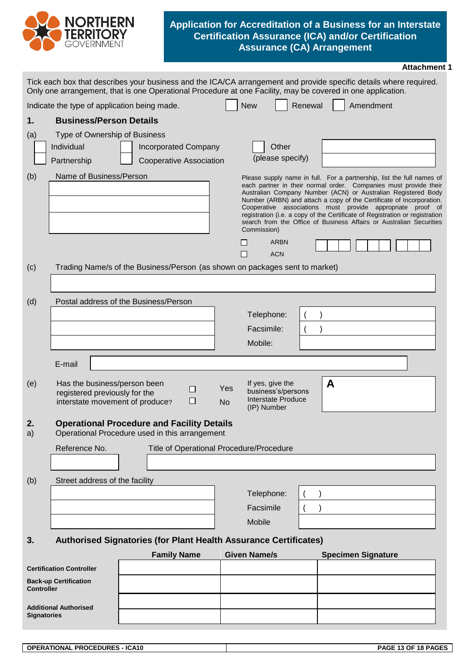

#### **Application for Accreditation of a Business for an Interstate Certification Assurance (ICA) and/or Certification Assurance (CA) Arrangement**

|                    |                                                                                                  |                                                                                                     |                                                                                                 | <b>Attachment 1</b>                                                                                                                                                                                                                                                                                                                                                                                                                                                                                     |
|--------------------|--------------------------------------------------------------------------------------------------|-----------------------------------------------------------------------------------------------------|-------------------------------------------------------------------------------------------------|---------------------------------------------------------------------------------------------------------------------------------------------------------------------------------------------------------------------------------------------------------------------------------------------------------------------------------------------------------------------------------------------------------------------------------------------------------------------------------------------------------|
|                    |                                                                                                  |                                                                                                     |                                                                                                 | Tick each box that describes your business and the ICA/CA arrangement and provide specific details where required.<br>Only one arrangement, that is one Operational Procedure at one Facility, may be covered in one application.                                                                                                                                                                                                                                                                       |
|                    | Indicate the type of application being made.                                                     |                                                                                                     | <b>New</b>                                                                                      | Renewal<br>Amendment                                                                                                                                                                                                                                                                                                                                                                                                                                                                                    |
| 1.                 | <b>Business/Person Details</b>                                                                   |                                                                                                     |                                                                                                 |                                                                                                                                                                                                                                                                                                                                                                                                                                                                                                         |
| (a)                | Type of Ownership of Business<br>Individual<br>Partnership                                       | <b>Incorporated Company</b><br><b>Cooperative Association</b>                                       | Other<br>(please specify)                                                                       |                                                                                                                                                                                                                                                                                                                                                                                                                                                                                                         |
| (b)                | Name of Business/Person                                                                          |                                                                                                     | Commission)                                                                                     | Please supply name in full. For a partnership, list the full names of<br>each partner in their normal order. Companies must provide their<br>Australian Company Number (ACN) or Australian Registered Body<br>Number (ARBN) and attach a copy of the Certificate of Incorporation.<br>Cooperative associations must provide appropriate proof of<br>registration (i.e. a copy of the Certificate of Registration or registration<br>search from the Office of Business Affairs or Australian Securities |
|                    |                                                                                                  |                                                                                                     | <b>ARBN</b><br><b>ACN</b>                                                                       |                                                                                                                                                                                                                                                                                                                                                                                                                                                                                                         |
| (c)                |                                                                                                  | Trading Name/s of the Business/Person (as shown on packages sent to market)                         |                                                                                                 |                                                                                                                                                                                                                                                                                                                                                                                                                                                                                                         |
|                    |                                                                                                  |                                                                                                     |                                                                                                 |                                                                                                                                                                                                                                                                                                                                                                                                                                                                                                         |
| (d)                |                                                                                                  | Postal address of the Business/Person                                                               |                                                                                                 |                                                                                                                                                                                                                                                                                                                                                                                                                                                                                                         |
|                    |                                                                                                  |                                                                                                     | Telephone:                                                                                      |                                                                                                                                                                                                                                                                                                                                                                                                                                                                                                         |
|                    |                                                                                                  |                                                                                                     | Facsimile:                                                                                      |                                                                                                                                                                                                                                                                                                                                                                                                                                                                                                         |
|                    |                                                                                                  |                                                                                                     | Mobile:                                                                                         |                                                                                                                                                                                                                                                                                                                                                                                                                                                                                                         |
|                    | E-mail                                                                                           |                                                                                                     |                                                                                                 |                                                                                                                                                                                                                                                                                                                                                                                                                                                                                                         |
| (e)                | Has the business/person been<br>registered previously for the<br>interstate movement of produce? | $\Box$<br>⊔                                                                                         | If yes, give the<br>Yes<br>business's/persons<br>Interstate Produce<br><b>No</b><br>(IP) Number | A                                                                                                                                                                                                                                                                                                                                                                                                                                                                                                       |
| 2.<br>a)           |                                                                                                  | <b>Operational Procedure and Facility Details</b><br>Operational Procedure used in this arrangement |                                                                                                 |                                                                                                                                                                                                                                                                                                                                                                                                                                                                                                         |
|                    | Reference No.                                                                                    |                                                                                                     | Title of Operational Procedure/Procedure                                                        |                                                                                                                                                                                                                                                                                                                                                                                                                                                                                                         |
|                    |                                                                                                  |                                                                                                     |                                                                                                 |                                                                                                                                                                                                                                                                                                                                                                                                                                                                                                         |
| (b)                | Street address of the facility                                                                   |                                                                                                     |                                                                                                 |                                                                                                                                                                                                                                                                                                                                                                                                                                                                                                         |
|                    |                                                                                                  |                                                                                                     | Telephone:                                                                                      |                                                                                                                                                                                                                                                                                                                                                                                                                                                                                                         |
|                    |                                                                                                  |                                                                                                     | Facsimile                                                                                       |                                                                                                                                                                                                                                                                                                                                                                                                                                                                                                         |
|                    |                                                                                                  |                                                                                                     | Mobile                                                                                          |                                                                                                                                                                                                                                                                                                                                                                                                                                                                                                         |
| 3.                 |                                                                                                  | <b>Authorised Signatories (for Plant Health Assurance Certificates)</b>                             |                                                                                                 |                                                                                                                                                                                                                                                                                                                                                                                                                                                                                                         |
|                    |                                                                                                  | <b>Family Name</b>                                                                                  | <b>Given Name/s</b>                                                                             | <b>Specimen Signature</b>                                                                                                                                                                                                                                                                                                                                                                                                                                                                               |
|                    | <b>Certification Controller</b>                                                                  |                                                                                                     |                                                                                                 |                                                                                                                                                                                                                                                                                                                                                                                                                                                                                                         |
| <b>Controller</b>  | <b>Back-up Certification</b>                                                                     |                                                                                                     |                                                                                                 |                                                                                                                                                                                                                                                                                                                                                                                                                                                                                                         |
| <b>Signatories</b> | <b>Additional Authorised</b>                                                                     |                                                                                                     |                                                                                                 |                                                                                                                                                                                                                                                                                                                                                                                                                                                                                                         |
|                    |                                                                                                  |                                                                                                     |                                                                                                 |                                                                                                                                                                                                                                                                                                                                                                                                                                                                                                         |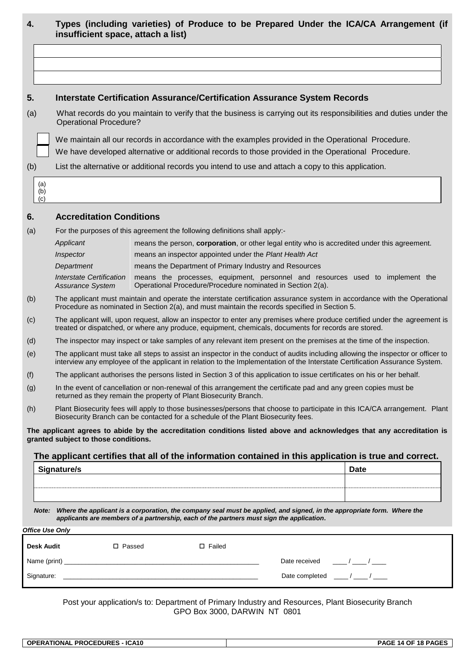| 4.  |                   | insufficient space, attach a list)                                                                                                                  |  |                  |                                                                                                                                                                                                                          | Types (including varieties) of Produce to be Prepared Under the ICA/CA Arrangement (if                                                                                                                                                                          |  |  |  |  |
|-----|-------------------|-----------------------------------------------------------------------------------------------------------------------------------------------------|--|------------------|--------------------------------------------------------------------------------------------------------------------------------------------------------------------------------------------------------------------------|-----------------------------------------------------------------------------------------------------------------------------------------------------------------------------------------------------------------------------------------------------------------|--|--|--|--|
|     |                   |                                                                                                                                                     |  |                  |                                                                                                                                                                                                                          |                                                                                                                                                                                                                                                                 |  |  |  |  |
|     |                   |                                                                                                                                                     |  |                  |                                                                                                                                                                                                                          |                                                                                                                                                                                                                                                                 |  |  |  |  |
|     |                   |                                                                                                                                                     |  |                  |                                                                                                                                                                                                                          |                                                                                                                                                                                                                                                                 |  |  |  |  |
| 5.  |                   |                                                                                                                                                     |  |                  | <b>Interstate Certification Assurance/Certification Assurance System Records</b>                                                                                                                                         |                                                                                                                                                                                                                                                                 |  |  |  |  |
| (a) |                   | What records do you maintain to verify that the business is carrying out its responsibilities and duties under the<br><b>Operational Procedure?</b> |  |                  |                                                                                                                                                                                                                          |                                                                                                                                                                                                                                                                 |  |  |  |  |
|     |                   |                                                                                                                                                     |  |                  | We maintain all our records in accordance with the examples provided in the Operational Procedure.                                                                                                                       |                                                                                                                                                                                                                                                                 |  |  |  |  |
|     |                   |                                                                                                                                                     |  |                  | We have developed alternative or additional records to those provided in the Operational Procedure.                                                                                                                      |                                                                                                                                                                                                                                                                 |  |  |  |  |
| (b) |                   |                                                                                                                                                     |  |                  | List the alternative or additional records you intend to use and attach a copy to this application.                                                                                                                      |                                                                                                                                                                                                                                                                 |  |  |  |  |
|     | (a)<br>(b)<br>(c) |                                                                                                                                                     |  |                  |                                                                                                                                                                                                                          |                                                                                                                                                                                                                                                                 |  |  |  |  |
| 6.  |                   | <b>Accreditation Conditions</b>                                                                                                                     |  |                  |                                                                                                                                                                                                                          |                                                                                                                                                                                                                                                                 |  |  |  |  |
| (a) |                   | For the purposes of this agreement the following definitions shall apply:-                                                                          |  |                  |                                                                                                                                                                                                                          |                                                                                                                                                                                                                                                                 |  |  |  |  |
|     |                   | Applicant                                                                                                                                           |  |                  |                                                                                                                                                                                                                          | means the person, corporation, or other legal entity who is accredited under this agreement.                                                                                                                                                                    |  |  |  |  |
|     |                   | Inspector                                                                                                                                           |  |                  | means an inspector appointed under the Plant Health Act                                                                                                                                                                  |                                                                                                                                                                                                                                                                 |  |  |  |  |
|     |                   | Department                                                                                                                                          |  |                  | means the Department of Primary Industry and Resources                                                                                                                                                                   |                                                                                                                                                                                                                                                                 |  |  |  |  |
|     |                   | <b>Interstate Certification</b><br><b>Assurance System</b>                                                                                          |  |                  | Operational Procedure/Procedure nominated in Section 2(a).                                                                                                                                                               | means the processes, equipment, personnel and resources used to implement the                                                                                                                                                                                   |  |  |  |  |
| (b) |                   |                                                                                                                                                     |  |                  | Procedure as nominated in Section 2(a), and must maintain the records specified in Section 5.                                                                                                                            | The applicant must maintain and operate the interstate certification assurance system in accordance with the Operational                                                                                                                                        |  |  |  |  |
| (c) |                   |                                                                                                                                                     |  |                  | treated or dispatched, or where any produce, equipment, chemicals, documents for records are stored.                                                                                                                     | The applicant will, upon request, allow an inspector to enter any premises where produce certified under the agreement is                                                                                                                                       |  |  |  |  |
| (d) |                   |                                                                                                                                                     |  |                  | The inspector may inspect or take samples of any relevant item present on the premises at the time of the inspection.                                                                                                    |                                                                                                                                                                                                                                                                 |  |  |  |  |
| (e) |                   |                                                                                                                                                     |  |                  |                                                                                                                                                                                                                          | The applicant must take all steps to assist an inspector in the conduct of audits including allowing the inspector or officer to<br>interview any employee of the applicant in relation to the Implementation of the Interstate Certification Assurance System. |  |  |  |  |
| (f) |                   |                                                                                                                                                     |  |                  | The applicant authorises the persons listed in Section 3 of this application to issue certificates on his or her behalf.                                                                                                 |                                                                                                                                                                                                                                                                 |  |  |  |  |
| (g) |                   | returned as they remain the property of Plant Biosecurity Branch.                                                                                   |  |                  | In the event of cancellation or non-renewal of this arrangement the certificate pad and any green copies must be                                                                                                         |                                                                                                                                                                                                                                                                 |  |  |  |  |
| (h) |                   | Biosecurity Branch can be contacted for a schedule of the Plant Biosecurity fees.                                                                   |  |                  |                                                                                                                                                                                                                          | Plant Biosecurity fees will apply to those businesses/persons that choose to participate in this ICA/CA arrangement. Plant                                                                                                                                      |  |  |  |  |
|     |                   | granted subject to those conditions.                                                                                                                |  |                  |                                                                                                                                                                                                                          | The applicant agrees to abide by the accreditation conditions listed above and acknowledges that any accreditation is                                                                                                                                           |  |  |  |  |
|     |                   |                                                                                                                                                     |  |                  |                                                                                                                                                                                                                          | The applicant certifies that all of the information contained in this application is true and correct.                                                                                                                                                          |  |  |  |  |
|     |                   | Signature/s                                                                                                                                         |  |                  |                                                                                                                                                                                                                          | Date                                                                                                                                                                                                                                                            |  |  |  |  |
|     |                   |                                                                                                                                                     |  |                  |                                                                                                                                                                                                                          |                                                                                                                                                                                                                                                                 |  |  |  |  |
|     |                   |                                                                                                                                                     |  |                  |                                                                                                                                                                                                                          |                                                                                                                                                                                                                                                                 |  |  |  |  |
|     |                   |                                                                                                                                                     |  |                  | Note: Where the applicant is a corporation, the company seal must be applied, and signed, in the appropriate form. Where the<br>applicants are members of a partnership, each of the partners must sign the application. |                                                                                                                                                                                                                                                                 |  |  |  |  |
|     |                   | <b>Office Use Only</b>                                                                                                                              |  |                  |                                                                                                                                                                                                                          |                                                                                                                                                                                                                                                                 |  |  |  |  |
|     | <b>Desk Audit</b> | □ Passed                                                                                                                                            |  | $\square$ Failed |                                                                                                                                                                                                                          |                                                                                                                                                                                                                                                                 |  |  |  |  |
|     |                   |                                                                                                                                                     |  |                  | Date received                                                                                                                                                                                                            | $\frac{\frac{1}{2}}{2}$                                                                                                                                                                                                                                         |  |  |  |  |
|     |                   |                                                                                                                                                     |  |                  | Date completed $\frac{1}{2}$ / $\frac{1}{2}$ / $\frac{1}{2}$                                                                                                                                                             |                                                                                                                                                                                                                                                                 |  |  |  |  |

Post your application/s to: Department of Primary Industry and Resources, Plant Biosecurity Branch GPO Box 3000, DARWIN NT 0801

| ICA10<br><b>FDURES</b><br>OPF<br>™RATIONA∟<br><b>PROCE.</b> | 18 PAGL<br>□ΔG.<br>ΩI<br>. .<br>∼ |
|-------------------------------------------------------------|-----------------------------------|
|                                                             |                                   |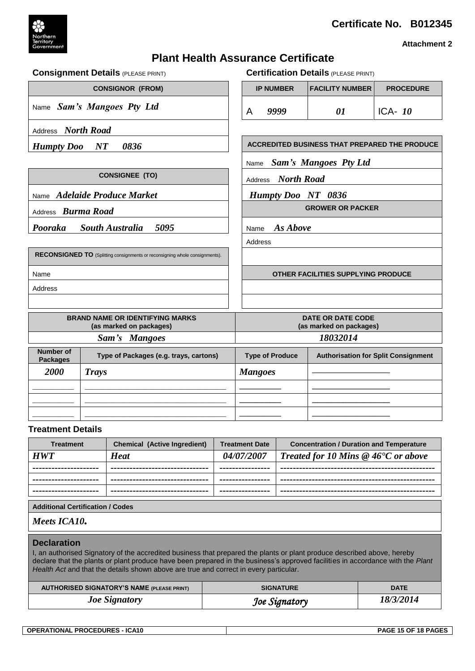



**Attachment 2**

# **Plant Health Assurance Certificate**

|                                     | <b>Consignment Details (PLEASE PRINT)</b>                                   | <b>Certification Details (PLEASE PRINT)</b>                          |                           |                                                      |                  |  |
|-------------------------------------|-----------------------------------------------------------------------------|----------------------------------------------------------------------|---------------------------|------------------------------------------------------|------------------|--|
|                                     | <b>CONSIGNOR (FROM)</b>                                                     |                                                                      | <b>IP NUMBER</b>          | <b>FACILITY NUMBER</b>                               | <b>PROCEDURE</b> |  |
|                                     | Name Sam's Mangoes Pty Ltd                                                  | A                                                                    | 9999                      | 01                                                   | ICA- $10$        |  |
| Address North Road                  |                                                                             |                                                                      |                           |                                                      |                  |  |
| <b>Humpty Doo</b>                   | 0836<br>$\boldsymbol{N} \boldsymbol{T}$                                     |                                                                      |                           | <b>ACCREDITED BUSINESS THAT PREPARED THE PRODUCE</b> |                  |  |
|                                     |                                                                             | Name                                                                 |                           | <b>Sam's Mangoes Pty Ltd</b>                         |                  |  |
|                                     | <b>CONSIGNEE (TO)</b>                                                       | Address                                                              | <b>North Road</b>         |                                                      |                  |  |
|                                     | Name Adelaide Produce Market                                                |                                                                      | <b>Humpty Doo NT 0836</b> |                                                      |                  |  |
| Address Burma Road                  |                                                                             |                                                                      |                           | <b>GROWER OR PACKER</b>                              |                  |  |
| Pooraka                             | 5095<br><b>South Australia</b>                                              | As Above<br>Name                                                     |                           |                                                      |                  |  |
|                                     |                                                                             | Address                                                              |                           |                                                      |                  |  |
|                                     | RECONSIGNED TO (Splitting consignments or reconsigning whole consignments). |                                                                      |                           |                                                      |                  |  |
| Name                                |                                                                             | OTHER FACILITIES SUPPLYING PRODUCE                                   |                           |                                                      |                  |  |
| Address                             |                                                                             |                                                                      |                           |                                                      |                  |  |
|                                     |                                                                             |                                                                      |                           |                                                      |                  |  |
|                                     | <b>BRAND NAME OR IDENTIFYING MARKS</b><br>(as marked on packages)           | <b>DATE OR DATE CODE</b><br>(as marked on packages)                  |                           |                                                      |                  |  |
|                                     | Sam's Mangoes                                                               | 18032014                                                             |                           |                                                      |                  |  |
| <b>Number of</b><br><b>Packages</b> | Type of Packages (e.g. trays, cartons)                                      | <b>Type of Produce</b><br><b>Authorisation for Split Consignment</b> |                           |                                                      |                  |  |
| 2000                                | <b>Trays</b>                                                                | <b>Mangoes</b>                                                       |                           |                                                      |                  |  |
|                                     |                                                                             |                                                                      |                           |                                                      |                  |  |
|                                     |                                                                             |                                                                      |                           |                                                      |                  |  |
|                                     |                                                                             |                                                                      |                           |                                                      |                  |  |

#### **Treatment Details**

| <b>Treatment</b>                                                                                                                                                                                                                                                                                                                                                         | <b>Chemical (Active Ingredient)</b>               | <b>Treatment Date</b> |                                                                       | <b>Concentration / Duration and Temperature</b> |  |  |  |
|--------------------------------------------------------------------------------------------------------------------------------------------------------------------------------------------------------------------------------------------------------------------------------------------------------------------------------------------------------------------------|---------------------------------------------------|-----------------------|-----------------------------------------------------------------------|-------------------------------------------------|--|--|--|
| <b>HWT</b>                                                                                                                                                                                                                                                                                                                                                               | <b>Heat</b>                                       | 04/07/2007            | Treated for 10 Mins $@$ 46 <sup><math>\bullet</math></sup> C or above |                                                 |  |  |  |
|                                                                                                                                                                                                                                                                                                                                                                          |                                                   |                       |                                                                       |                                                 |  |  |  |
|                                                                                                                                                                                                                                                                                                                                                                          |                                                   |                       |                                                                       |                                                 |  |  |  |
|                                                                                                                                                                                                                                                                                                                                                                          |                                                   |                       |                                                                       |                                                 |  |  |  |
| <b>Additional Certification / Codes</b>                                                                                                                                                                                                                                                                                                                                  |                                                   |                       |                                                                       |                                                 |  |  |  |
| Meets ICA10.                                                                                                                                                                                                                                                                                                                                                             |                                                   |                       |                                                                       |                                                 |  |  |  |
| <b>Declaration</b><br>I, an authorised Signatory of the accredited business that prepared the plants or plant produce described above, hereby<br>declare that the plants or plant produce have been prepared in the business's approved facilities in accordance with the Plant<br>Health Act and that the details shown above are true and correct in every particular. |                                                   |                       |                                                                       |                                                 |  |  |  |
|                                                                                                                                                                                                                                                                                                                                                                          | <b>AUTHORISED SIGNATORY'S NAME (PLEASE PRINT)</b> | <b>SIGNATURE</b>      |                                                                       | <b>DATE</b>                                     |  |  |  |
|                                                                                                                                                                                                                                                                                                                                                                          | <b>Joe Signatory</b>                              | Joe Signatory         | 18/3/2014                                                             |                                                 |  |  |  |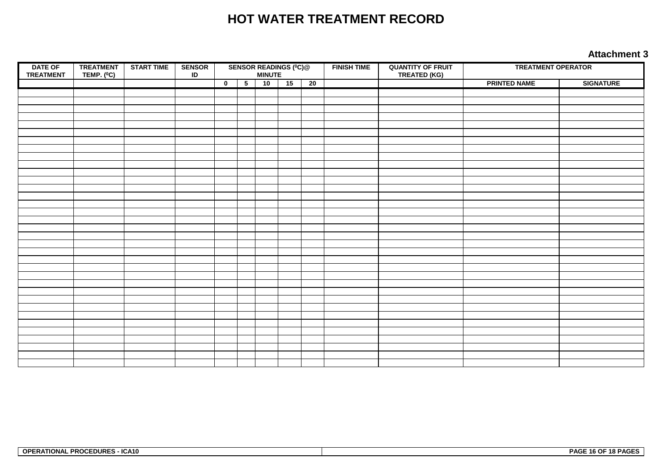# **HOT WATER TREATMENT RECORD**

#### **Attachment 3**

| <b>DATE OF</b><br><b>TREATMENT</b> | <b>TREATMENT</b><br>TEMP. $(^0C)$ | <b>START TIME</b> | <b>SENSOR</b><br>$\sf ID$ |                         | <b>SENSOR READINGS (°C)@</b><br>MINUTE |    | <b>FINISH TIME</b> | <b>QUANTITY OF FRUIT</b><br><b>TREATED (KG)</b> | <b>TREATMENT OPERATOR</b> |  |                     |                  |
|------------------------------------|-----------------------------------|-------------------|---------------------------|-------------------------|----------------------------------------|----|--------------------|-------------------------------------------------|---------------------------|--|---------------------|------------------|
|                                    |                                   |                   |                           | $\overline{\mathbf{0}}$ | $\overline{5}$                         | 10 | 15                 | 20                                              |                           |  | <b>PRINTED NAME</b> | <b>SIGNATURE</b> |
|                                    |                                   |                   |                           |                         |                                        |    |                    |                                                 |                           |  |                     |                  |
|                                    |                                   |                   |                           |                         |                                        |    |                    |                                                 |                           |  |                     |                  |
|                                    |                                   |                   |                           |                         |                                        |    |                    |                                                 |                           |  |                     |                  |
|                                    |                                   |                   |                           |                         |                                        |    |                    |                                                 |                           |  |                     |                  |
|                                    |                                   |                   |                           |                         |                                        |    |                    |                                                 |                           |  |                     |                  |
|                                    |                                   |                   |                           |                         |                                        |    |                    |                                                 |                           |  |                     |                  |
|                                    |                                   |                   |                           |                         |                                        |    |                    |                                                 |                           |  |                     |                  |
|                                    |                                   |                   |                           |                         |                                        |    |                    |                                                 |                           |  |                     |                  |
|                                    |                                   |                   |                           |                         |                                        |    |                    |                                                 |                           |  |                     |                  |
|                                    |                                   |                   |                           |                         |                                        |    |                    |                                                 |                           |  |                     |                  |
|                                    |                                   |                   |                           |                         |                                        |    |                    |                                                 |                           |  |                     |                  |
|                                    |                                   |                   |                           |                         |                                        |    |                    |                                                 |                           |  |                     |                  |
|                                    |                                   |                   |                           |                         |                                        |    |                    |                                                 |                           |  |                     |                  |
|                                    |                                   |                   |                           |                         |                                        |    |                    |                                                 |                           |  |                     |                  |
|                                    |                                   |                   |                           |                         |                                        |    |                    |                                                 |                           |  |                     |                  |
|                                    |                                   |                   |                           |                         |                                        |    |                    |                                                 |                           |  |                     |                  |
|                                    |                                   |                   |                           |                         |                                        |    |                    |                                                 |                           |  |                     |                  |
|                                    |                                   |                   |                           |                         |                                        |    |                    |                                                 |                           |  |                     |                  |
|                                    |                                   |                   |                           |                         |                                        |    |                    |                                                 |                           |  |                     |                  |
|                                    |                                   |                   |                           |                         |                                        |    |                    |                                                 |                           |  |                     |                  |
|                                    |                                   |                   |                           |                         |                                        |    |                    |                                                 |                           |  |                     |                  |
|                                    |                                   |                   |                           |                         |                                        |    |                    |                                                 |                           |  |                     |                  |
|                                    |                                   |                   |                           |                         |                                        |    |                    |                                                 |                           |  |                     |                  |
|                                    |                                   |                   |                           |                         |                                        |    |                    |                                                 |                           |  |                     |                  |
|                                    |                                   |                   |                           |                         |                                        |    |                    |                                                 |                           |  |                     |                  |
|                                    |                                   |                   |                           |                         |                                        |    |                    |                                                 |                           |  |                     |                  |
|                                    |                                   |                   |                           |                         |                                        |    |                    |                                                 |                           |  |                     |                  |
|                                    |                                   |                   |                           |                         |                                        |    |                    |                                                 |                           |  |                     |                  |
|                                    |                                   |                   |                           |                         |                                        |    |                    |                                                 |                           |  |                     |                  |
|                                    |                                   |                   |                           |                         |                                        |    |                    |                                                 |                           |  |                     |                  |
|                                    |                                   |                   |                           |                         |                                        |    |                    |                                                 |                           |  |                     |                  |
|                                    |                                   |                   |                           |                         |                                        |    |                    |                                                 |                           |  |                     |                  |
|                                    |                                   |                   |                           |                         |                                        |    |                    |                                                 |                           |  |                     |                  |
|                                    |                                   |                   |                           |                         |                                        |    |                    |                                                 |                           |  |                     |                  |

| <b>OPERATIONAL PROCEDURES - ICA10</b> | 16 OF 18 PAGES<br><b>PAGF</b> |
|---------------------------------------|-------------------------------|